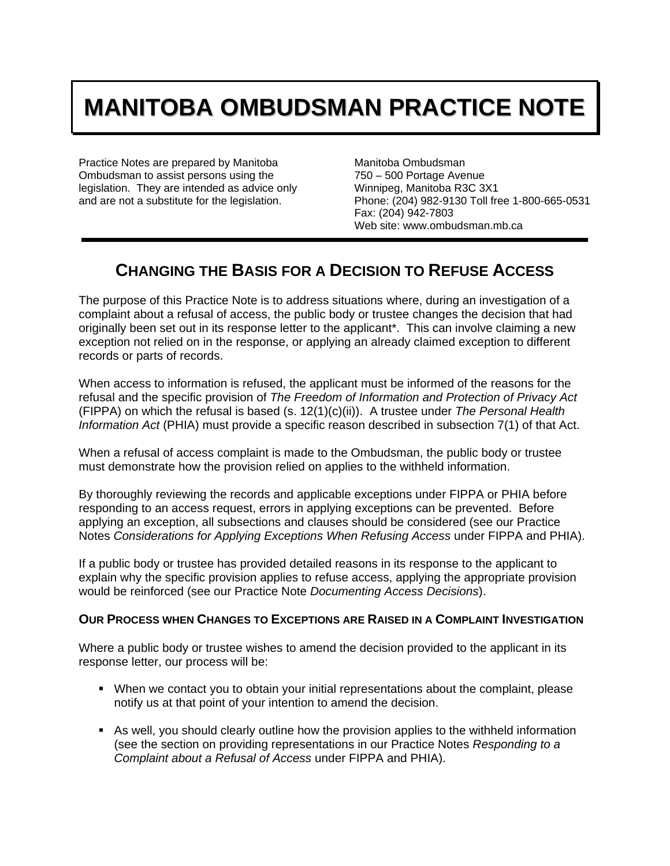## **MANITOBA OMBUDSMAN PRACTICE NOTE**

Practice Notes are prepared by Manitoba Ombudsman to assist persons using the legislation. They are intended as advice only and are not a substitute for the legislation.

Manitoba Ombudsman 750 – 500 Portage Avenue Winnipeg, Manitoba R3C 3X1 Phone: (204) 982-9130 Toll free 1-800-665-0531 Fax: (204) 942-7803 Web site: www.ombudsman.mb.ca

## **CHANGING THE BASIS FOR A DECISION TO REFUSE ACCESS**

The purpose of this Practice Note is to address situations where, during an investigation of a complaint about a refusal of access, the public body or trustee changes the decision that had originally been set out in its response letter to the applicant\*. This can involve claiming a new exception not relied on in the response, or applying an already claimed exception to different records or parts of records.

When access to information is refused, the applicant must be informed of the reasons for the refusal and the specific provision of *The Freedom of Information and Protection of Privacy Act* (FIPPA) on which the refusal is based (s. 12(1)(c)(ii)). A trustee under *The Personal Health Information Act* (PHIA) must provide a specific reason described in subsection 7(1) of that Act.

When a refusal of access complaint is made to the Ombudsman, the public body or trustee must demonstrate how the provision relied on applies to the withheld information.

By thoroughly reviewing the records and applicable exceptions under FIPPA or PHIA before responding to an access request, errors in applying exceptions can be prevented. Before applying an exception, all subsections and clauses should be considered (see our Practice Notes *Considerations for Applying Exceptions When Refusing Access* under FIPPA and PHIA).

If a public body or trustee has provided detailed reasons in its response to the applicant to explain why the specific provision applies to refuse access, applying the appropriate provision would be reinforced (see our Practice Note *Documenting Access Decisions*).

## **OUR PROCESS WHEN CHANGES TO EXCEPTIONS ARE RAISED IN A COMPLAINT INVESTIGATION**

Where a public body or trustee wishes to amend the decision provided to the applicant in its response letter, our process will be:

- When we contact you to obtain your initial representations about the complaint, please notify us at that point of your intention to amend the decision.
- As well, you should clearly outline how the provision applies to the withheld information (see the section on providing representations in our Practice Notes *Responding to a Complaint about a Refusal of Access* under FIPPA and PHIA).